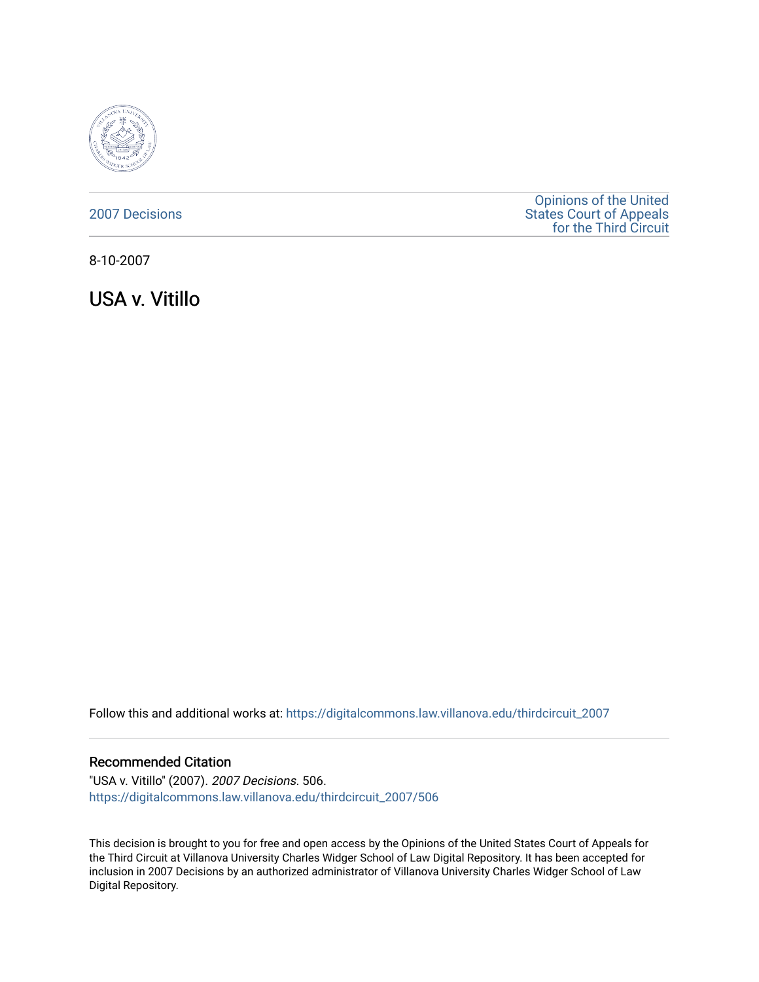

#### [2007 Decisions](https://digitalcommons.law.villanova.edu/thirdcircuit_2007)

[Opinions of the United](https://digitalcommons.law.villanova.edu/thirdcircuit)  [States Court of Appeals](https://digitalcommons.law.villanova.edu/thirdcircuit)  [for the Third Circuit](https://digitalcommons.law.villanova.edu/thirdcircuit) 

8-10-2007

USA v. Vitillo

Follow this and additional works at: [https://digitalcommons.law.villanova.edu/thirdcircuit\\_2007](https://digitalcommons.law.villanova.edu/thirdcircuit_2007?utm_source=digitalcommons.law.villanova.edu%2Fthirdcircuit_2007%2F506&utm_medium=PDF&utm_campaign=PDFCoverPages) 

#### Recommended Citation

"USA v. Vitillo" (2007). 2007 Decisions. 506. [https://digitalcommons.law.villanova.edu/thirdcircuit\\_2007/506](https://digitalcommons.law.villanova.edu/thirdcircuit_2007/506?utm_source=digitalcommons.law.villanova.edu%2Fthirdcircuit_2007%2F506&utm_medium=PDF&utm_campaign=PDFCoverPages)

This decision is brought to you for free and open access by the Opinions of the United States Court of Appeals for the Third Circuit at Villanova University Charles Widger School of Law Digital Repository. It has been accepted for inclusion in 2007 Decisions by an authorized administrator of Villanova University Charles Widger School of Law Digital Repository.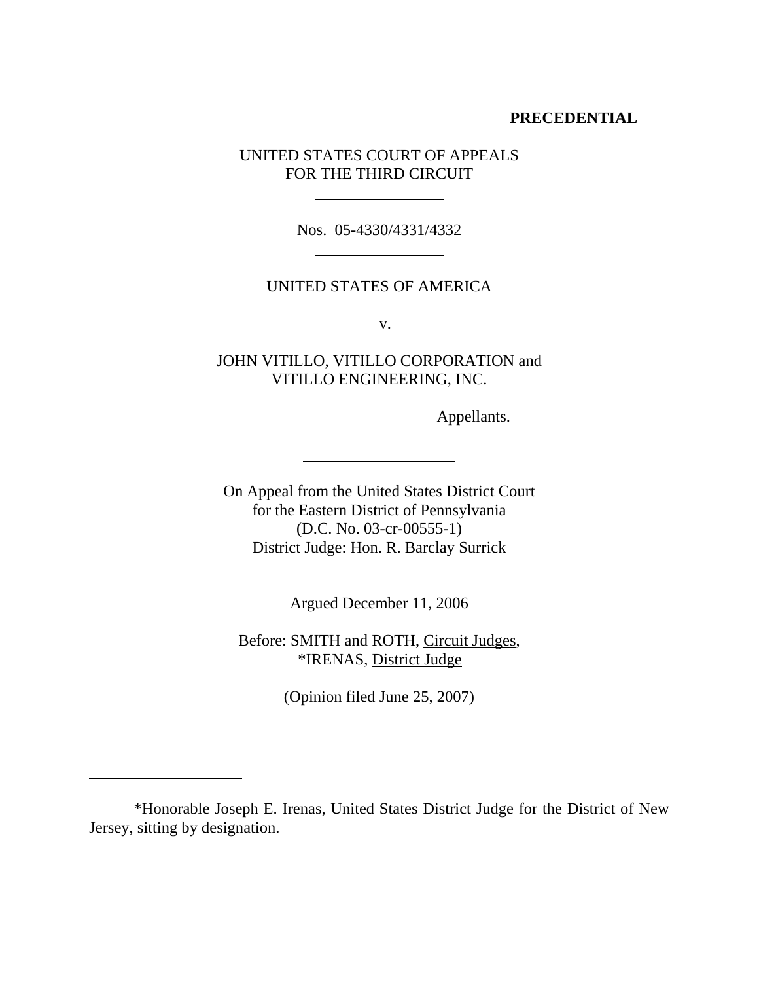### **PRECEDENTIAL**

### UNITED STATES COURT OF APPEALS FOR THE THIRD CIRCUIT

 $\ddot{\phantom{a}}$ 

 $\ddot{\phantom{a}}$ 

 $\ddot{\phantom{a}}$ 

 $\ddot{\phantom{a}}$ 

 $\overline{a}$ 

Nos. 05-4330/4331/4332

#### UNITED STATES OF AMERICA

v.

## JOHN VITILLO, VITILLO CORPORATION and VITILLO ENGINEERING, INC.

Appellants.

On Appeal from the United States District Court for the Eastern District of Pennsylvania (D.C. No. 03-cr-00555-1) District Judge: Hon. R. Barclay Surrick

Argued December 11, 2006

Before: SMITH and ROTH, Circuit Judges, \*IRENAS, District Judge

(Opinion filed June 25, 2007)

<sup>\*</sup>Honorable Joseph E. Irenas, United States District Judge for the District of New Jersey, sitting by designation.